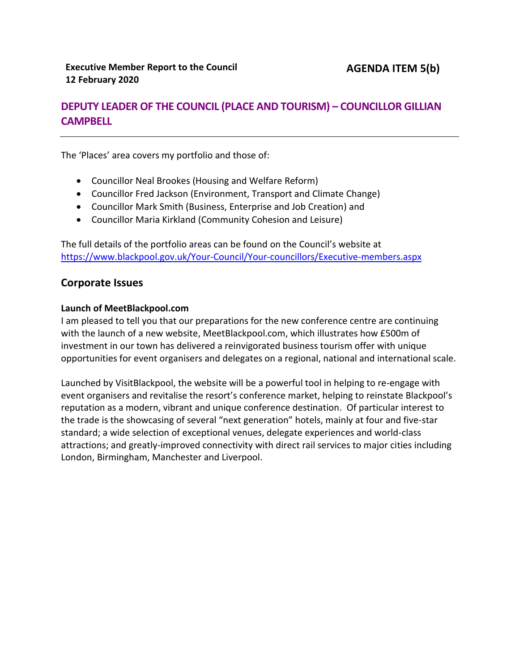# **DEPUTY LEADER OF THE COUNCIL (PLACE AND TOURISM) – COUNCILLOR GILLIAN CAMPBELL**

The 'Places' area covers my portfolio and those of:

- Councillor Neal Brookes (Housing and Welfare Reform)
- Councillor Fred Jackson (Environment, Transport and Climate Change)
- Councillor Mark Smith (Business, Enterprise and Job Creation) and
- Councillor Maria Kirkland (Community Cohesion and Leisure)

The full details of the portfolio areas can be found on the Council's website at <https://www.blackpool.gov.uk/Your-Council/Your-councillors/Executive-members.aspx>

## **Corporate Issues**

### **Launch of MeetBlackpool.com**

I am pleased to tell you that our preparations for the new conference centre are continuing with the launch of a new website, MeetBlackpool.com, which illustrates how £500m of investment in our town has delivered a reinvigorated business tourism offer with unique opportunities for event organisers and delegates on a regional, national and international scale.

Launched by VisitBlackpool, the website will be a powerful tool in helping to re-engage with event organisers and revitalise the resort's conference market, helping to reinstate Blackpool's reputation as a modern, vibrant and unique conference destination. Of particular interest to the trade is the showcasing of several "next generation" hotels, mainly at four and five-star standard; a wide selection of exceptional venues, delegate experiences and world-class attractions; and greatly-improved connectivity with direct rail services to major cities including London, Birmingham, Manchester and Liverpool.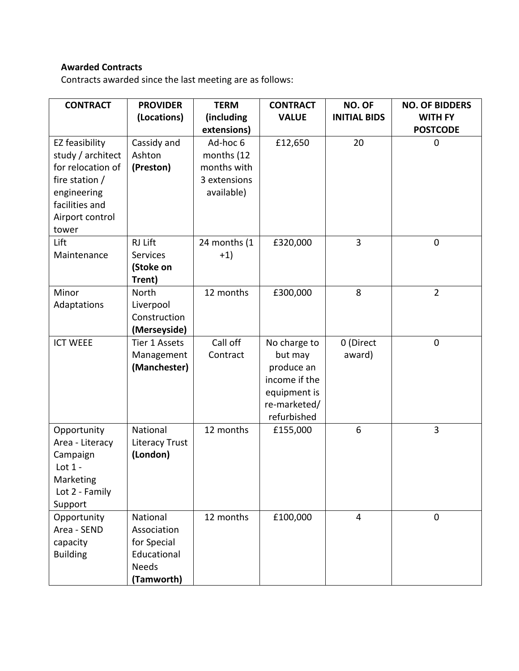# **Awarded Contracts**

Contracts awarded since the last meeting are as follows:

| <b>CONTRACT</b>       | <b>PROVIDER</b>            | <b>TERM</b>  | <b>CONTRACT</b> | NO. OF              | <b>NO. OF BIDDERS</b> |
|-----------------------|----------------------------|--------------|-----------------|---------------------|-----------------------|
|                       | (Locations)                | (including   | <b>VALUE</b>    | <b>INITIAL BIDS</b> | <b>WITH FY</b>        |
|                       |                            | extensions)  |                 |                     | <b>POSTCODE</b>       |
| EZ feasibility        | Cassidy and                | Ad-hoc 6     | £12,650         | 20                  | 0                     |
| study / architect     | Ashton                     | months (12   |                 |                     |                       |
| for relocation of     | (Preston)                  | months with  |                 |                     |                       |
| fire station /        |                            | 3 extensions |                 |                     |                       |
| engineering           |                            | available)   |                 |                     |                       |
| facilities and        |                            |              |                 |                     |                       |
| Airport control       |                            |              |                 |                     |                       |
| tower                 |                            |              |                 |                     |                       |
| Lift                  | RJ Lift                    | 24 months (1 | £320,000        | $\overline{3}$      | $\mathbf 0$           |
| Maintenance           | <b>Services</b>            | $+1)$        |                 |                     |                       |
|                       | (Stoke on                  |              |                 |                     |                       |
|                       | Trent)                     |              |                 |                     |                       |
| Minor                 | <b>North</b>               | 12 months    | £300,000        | 8                   | $\overline{2}$        |
| Adaptations           | Liverpool                  |              |                 |                     |                       |
|                       | Construction               |              |                 |                     |                       |
|                       | (Merseyside)               |              |                 |                     |                       |
| <b>ICT WEEE</b>       | Tier 1 Assets              | Call off     | No charge to    | 0 (Direct           | $\mathbf 0$           |
|                       | Management                 | Contract     | but may         | award)              |                       |
|                       | (Manchester)               |              | produce an      |                     |                       |
|                       |                            |              | income if the   |                     |                       |
|                       |                            |              | equipment is    |                     |                       |
|                       |                            |              | re-marketed/    |                     |                       |
|                       | National                   | 12 months    | refurbished     | 6                   | 3                     |
| Opportunity           |                            |              | £155,000        |                     |                       |
| Area - Literacy       | Literacy Trust<br>(London) |              |                 |                     |                       |
| Campaign<br>Lot $1 -$ |                            |              |                 |                     |                       |
| Marketing             |                            |              |                 |                     |                       |
| Lot 2 - Family        |                            |              |                 |                     |                       |
| Support               |                            |              |                 |                     |                       |
| Opportunity           | National                   | 12 months    | £100,000        | 4                   | $\mathbf{0}$          |
| Area - SEND           | Association                |              |                 |                     |                       |
| capacity              | for Special                |              |                 |                     |                       |
| <b>Building</b>       | Educational                |              |                 |                     |                       |
|                       | <b>Needs</b>               |              |                 |                     |                       |
|                       | (Tamworth)                 |              |                 |                     |                       |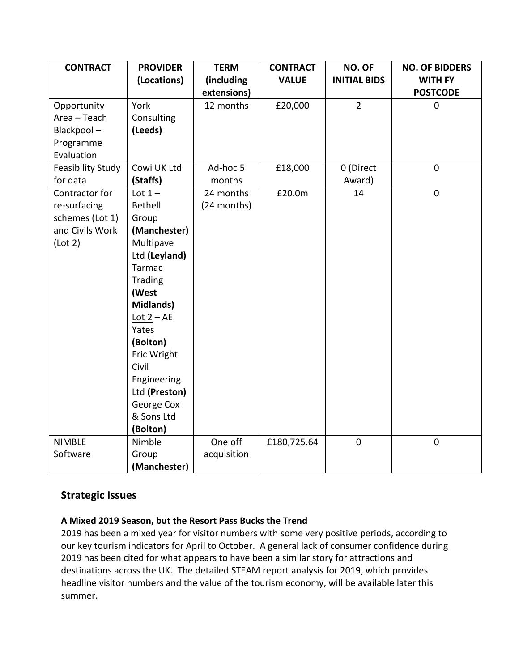| <b>CONTRACT</b>          | <b>PROVIDER</b>                         | <b>TERM</b> | <b>CONTRACT</b> | NO. OF              | <b>NO. OF BIDDERS</b> |
|--------------------------|-----------------------------------------|-------------|-----------------|---------------------|-----------------------|
|                          | (Locations)                             | (including  | <b>VALUE</b>    | <b>INITIAL BIDS</b> | <b>WITH FY</b>        |
|                          |                                         | extensions) |                 |                     | <b>POSTCODE</b>       |
| Opportunity              | York                                    | 12 months   | £20,000         | $\overline{2}$      | $\mathbf 0$           |
| Area - Teach             | Consulting                              |             |                 |                     |                       |
| Blackpool-               | (Leeds)                                 |             |                 |                     |                       |
| Programme                |                                         |             |                 |                     |                       |
| Evaluation               |                                         |             |                 |                     |                       |
| <b>Feasibility Study</b> | Cowi UK Ltd                             | Ad-hoc 5    | £18,000         | 0 (Direct           | $\mathbf 0$           |
| for data                 | (Staffs)                                | months      |                 | Award)              |                       |
| Contractor for           | Lot $1-$                                | 24 months   | £20.0m          | 14                  | $\mathbf 0$           |
| re-surfacing             | Bethell                                 | (24 months) |                 |                     |                       |
| schemes (Lot 1)          | Group                                   |             |                 |                     |                       |
| and Civils Work          | (Manchester)                            |             |                 |                     |                       |
| (Lot 2)                  | Multipave                               |             |                 |                     |                       |
|                          | Ltd (Leyland)                           |             |                 |                     |                       |
|                          | <b>Tarmac</b>                           |             |                 |                     |                       |
|                          | <b>Trading</b>                          |             |                 |                     |                       |
|                          | (West                                   |             |                 |                     |                       |
|                          | <b>Midlands)</b>                        |             |                 |                     |                       |
|                          | $\underline{\text{Lot } 2} - \text{AE}$ |             |                 |                     |                       |
|                          | Yates                                   |             |                 |                     |                       |
|                          | (Bolton)                                |             |                 |                     |                       |
|                          | Eric Wright                             |             |                 |                     |                       |
|                          | Civil                                   |             |                 |                     |                       |
|                          | Engineering                             |             |                 |                     |                       |
|                          | Ltd (Preston)                           |             |                 |                     |                       |
|                          | George Cox                              |             |                 |                     |                       |
|                          | & Sons Ltd                              |             |                 |                     |                       |
|                          | (Bolton)                                |             |                 |                     |                       |
| <b>NIMBLE</b>            | Nimble                                  | One off     | £180,725.64     | $\overline{0}$      | $\mathbf 0$           |
| Software                 | Group                                   | acquisition |                 |                     |                       |
|                          | (Manchester)                            |             |                 |                     |                       |

# **Strategic Issues**

### **A Mixed 2019 Season, but the Resort Pass Bucks the Trend**

2019 has been a mixed year for visitor numbers with some very positive periods, according to our key tourism indicators for April to October. A general lack of consumer confidence during 2019 has been cited for what appears to have been a similar story for attractions and destinations across the UK. The detailed STEAM report analysis for 2019, which provides headline visitor numbers and the value of the tourism economy, will be available later this summer.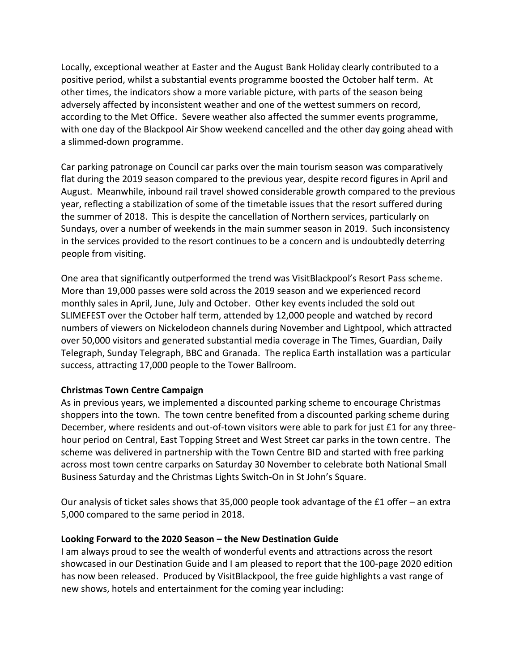Locally, exceptional weather at Easter and the August Bank Holiday clearly contributed to a positive period, whilst a substantial events programme boosted the October half term. At other times, the indicators show a more variable picture, with parts of the season being adversely affected by inconsistent weather and one of the wettest summers on record, according to the Met Office. Severe weather also affected the summer events programme, with one day of the Blackpool Air Show weekend cancelled and the other day going ahead with a slimmed-down programme.

Car parking patronage on Council car parks over the main tourism season was comparatively flat during the 2019 season compared to the previous year, despite record figures in April and August. Meanwhile, inbound rail travel showed considerable growth compared to the previous year, reflecting a stabilization of some of the timetable issues that the resort suffered during the summer of 2018. This is despite the cancellation of Northern services, particularly on Sundays, over a number of weekends in the main summer season in 2019. Such inconsistency in the services provided to the resort continues to be a concern and is undoubtedly deterring people from visiting.

One area that significantly outperformed the trend was VisitBlackpool's Resort Pass scheme. More than 19,000 passes were sold across the 2019 season and we experienced record monthly sales in April, June, July and October. Other key events included the sold out SLIMEFEST over the October half term, attended by 12,000 people and watched by record numbers of viewers on Nickelodeon channels during November and Lightpool, which attracted over 50,000 visitors and generated substantial media coverage in The Times, Guardian, Daily Telegraph, Sunday Telegraph, BBC and Granada. The replica Earth installation was a particular success, attracting 17,000 people to the Tower Ballroom.

### **Christmas Town Centre Campaign**

As in previous years, we implemented a discounted parking scheme to encourage Christmas shoppers into the town. The town centre benefited from a discounted parking scheme during December, where residents and out-of-town visitors were able to park for just £1 for any threehour period on Central, East Topping Street and West Street car parks in the town centre. The scheme was delivered in partnership with the Town Centre BID and started with free parking across most town centre carparks on Saturday 30 November to celebrate both National Small Business Saturday and the Christmas Lights Switch-On in St John's Square.

Our analysis of ticket sales shows that 35,000 people took advantage of the £1 offer – an extra 5,000 compared to the same period in 2018.

#### **Looking Forward to the 2020 Season – the New Destination Guide**

I am always proud to see the wealth of wonderful events and attractions across the resort showcased in our Destination Guide and I am pleased to report that the 100-page 2020 edition has now been released. Produced by VisitBlackpool, the free guide highlights a vast range of new shows, hotels and entertainment for the coming year including: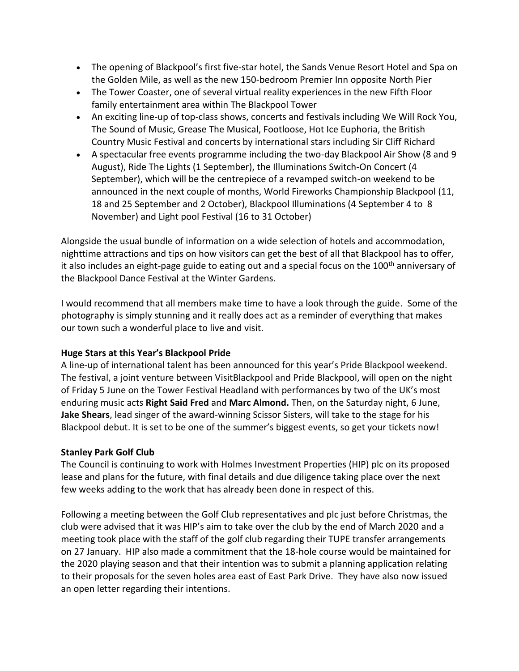- The opening of Blackpool's first five-star hotel, the Sands Venue Resort Hotel and Spa on the Golden Mile, as well as the new 150-bedroom Premier Inn opposite North Pier
- The Tower Coaster, one of several virtual reality experiences in the new Fifth Floor family entertainment area within The Blackpool Tower
- An exciting line-up of top-class shows, concerts and festivals including We Will Rock You, The Sound of Music, Grease The Musical, Footloose, Hot Ice Euphoria, the British Country Music Festival and concerts by international stars including Sir Cliff Richard
- A spectacular free events programme including the two-day Blackpool Air Show (8 and 9 August), Ride The Lights (1 September), the Illuminations Switch-On Concert (4 September), which will be the centrepiece of a revamped switch-on weekend to be announced in the next couple of months, World Fireworks Championship Blackpool (11, 18 and 25 September and 2 October), Blackpool Illuminations (4 September 4 to 8 November) and Light pool Festival (16 to 31 October)

Alongside the usual bundle of information on a wide selection of hotels and accommodation, nighttime attractions and tips on how visitors can get the best of all that Blackpool has to offer, it also includes an eight-page guide to eating out and a special focus on the 100<sup>th</sup> anniversary of the Blackpool Dance Festival at the Winter Gardens.

I would recommend that all members make time to have a look through the guide. Some of the photography is simply stunning and it really does act as a reminder of everything that makes our town such a wonderful place to live and visit.

### **Huge Stars at this Year's Blackpool Pride**

A line-up of international talent has been announced for this year's Pride Blackpool weekend. The festival, a joint venture between VisitBlackpool and Pride Blackpool, will open on the night of Friday 5 June on the Tower Festival Headland with performances by two of the UK's most enduring music acts **Right Said Fred** and **Marc Almond.** Then, on the Saturday night, 6 June, **Jake Shears**, lead singer of the award-winning Scissor Sisters, will take to the stage for his Blackpool debut. It is set to be one of the summer's biggest events, so get your tickets now!

## **Stanley Park Golf Club**

The Council is continuing to work with Holmes Investment Properties (HIP) plc on its proposed lease and plans for the future, with final details and due diligence taking place over the next few weeks adding to the work that has already been done in respect of this.

Following a meeting between the Golf Club representatives and plc just before Christmas, the club were advised that it was HIP's aim to take over the club by the end of March 2020 and a meeting took place with the staff of the golf club regarding their TUPE transfer arrangements on 27 January. HIP also made a commitment that the 18-hole course would be maintained for the 2020 playing season and that their intention was to submit a planning application relating to their proposals for the seven holes area east of East Park Drive. They have also now issued an open letter regarding their intentions.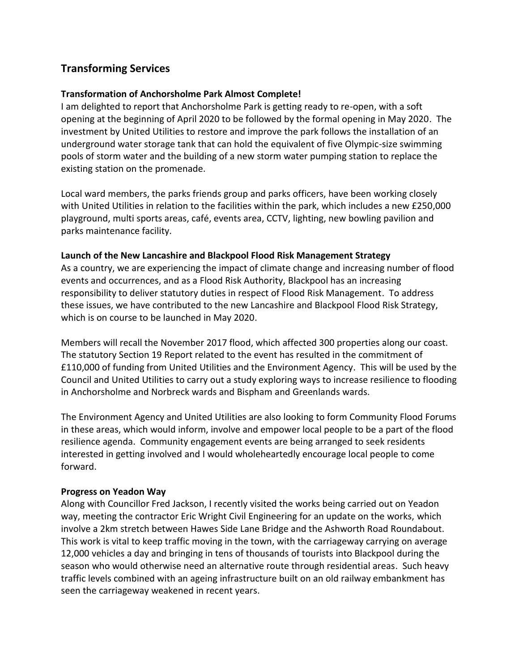# **Transforming Services**

### **Transformation of Anchorsholme Park Almost Complete!**

I am delighted to report that Anchorsholme Park is getting ready to re-open, with a soft opening at the beginning of April 2020 to be followed by the formal opening in May 2020. The investment by United Utilities to restore and improve the park follows the installation of an underground water storage tank that can hold the equivalent of five Olympic-size swimming pools of storm water and the building of a new storm water pumping station to replace the existing station on the promenade.

Local ward members, the parks friends group and parks officers, have been working closely with United Utilities in relation to the facilities within the park, which includes a new £250,000 playground, multi sports areas, café, events area, CCTV, lighting, new bowling pavilion and parks maintenance facility.

### **Launch of the New Lancashire and Blackpool Flood Risk Management Strategy**

As a country, we are experiencing the impact of climate change and increasing number of flood events and occurrences, and as a Flood Risk Authority, Blackpool has an increasing responsibility to deliver statutory duties in respect of Flood Risk Management. To address these issues, we have contributed to the new Lancashire and Blackpool Flood Risk Strategy, which is on course to be launched in May 2020.

Members will recall the November 2017 flood, which affected 300 properties along our coast. The statutory Section 19 Report related to the event has resulted in the commitment of £110,000 of funding from United Utilities and the Environment Agency. This will be used by the Council and United Utilities to carry out a study exploring ways to increase resilience to flooding in Anchorsholme and Norbreck wards and Bispham and Greenlands wards.

The Environment Agency and United Utilities are also looking to form Community Flood Forums in these areas, which would inform, involve and empower local people to be a part of the flood resilience agenda. Community engagement events are being arranged to seek residents interested in getting involved and I would wholeheartedly encourage local people to come forward.

### **Progress on Yeadon Way**

Along with Councillor Fred Jackson, I recently visited the works being carried out on Yeadon way, meeting the contractor Eric Wright Civil Engineering for an update on the works, which involve a 2km stretch between Hawes Side Lane Bridge and the Ashworth Road Roundabout. This work is vital to keep traffic moving in the town, with the carriageway carrying on average 12,000 vehicles a day and bringing in tens of thousands of tourists into Blackpool during the season who would otherwise need an alternative route through residential areas. Such heavy traffic levels combined with an ageing infrastructure built on an old railway embankment has seen the carriageway weakened in recent years.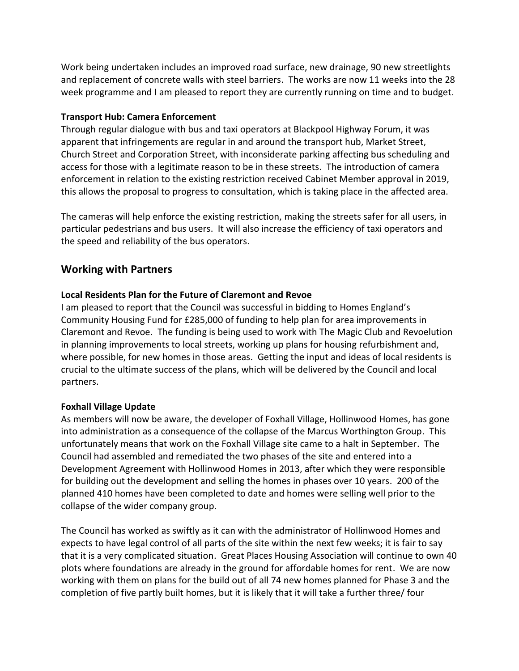Work being undertaken includes an improved road surface, new drainage, 90 new streetlights and replacement of concrete walls with steel barriers. The works are now 11 weeks into the 28 week programme and I am pleased to report they are currently running on time and to budget.

### **Transport Hub: Camera Enforcement**

Through regular dialogue with bus and taxi operators at Blackpool Highway Forum, it was apparent that infringements are regular in and around the transport hub, Market Street, Church Street and Corporation Street, with inconsiderate parking affecting bus scheduling and access for those with a legitimate reason to be in these streets. The introduction of camera enforcement in relation to the existing restriction received Cabinet Member approval in 2019, this allows the proposal to progress to consultation, which is taking place in the affected area.

The cameras will help enforce the existing restriction, making the streets safer for all users, in particular pedestrians and bus users. It will also increase the efficiency of taxi operators and the speed and reliability of the bus operators.

## **Working with Partners**

#### **Local Residents Plan for the Future of Claremont and Revoe**

I am pleased to report that the Council was successful in bidding to Homes England's Community Housing Fund for £285,000 of funding to help plan for area improvements in Claremont and Revoe. The funding is being used to work with The Magic Club and Revoelution in planning improvements to local streets, working up plans for housing refurbishment and, where possible, for new homes in those areas. Getting the input and ideas of local residents is crucial to the ultimate success of the plans, which will be delivered by the Council and local partners.

#### **Foxhall Village Update**

As members will now be aware, the developer of Foxhall Village, Hollinwood Homes, has gone into administration as a consequence of the collapse of the Marcus Worthington Group. This unfortunately means that work on the Foxhall Village site came to a halt in September. The Council had assembled and remediated the two phases of the site and entered into a Development Agreement with Hollinwood Homes in 2013, after which they were responsible for building out the development and selling the homes in phases over 10 years. 200 of the planned 410 homes have been completed to date and homes were selling well prior to the collapse of the wider company group.

The Council has worked as swiftly as it can with the administrator of Hollinwood Homes and expects to have legal control of all parts of the site within the next few weeks; it is fair to say that it is a very complicated situation. Great Places Housing Association will continue to own 40 plots where foundations are already in the ground for affordable homes for rent. We are now working with them on plans for the build out of all 74 new homes planned for Phase 3 and the completion of five partly built homes, but it is likely that it will take a further three/ four